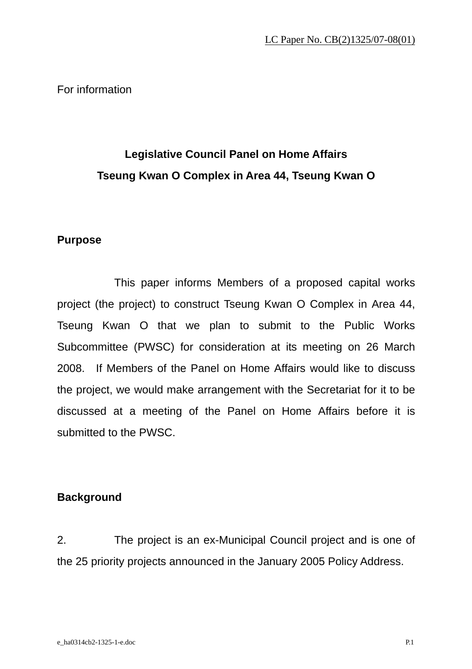For information

# **Legislative Council Panel on Home Affairs Tseung Kwan O Complex in Area 44, Tseung Kwan O**

### **Purpose**

 This paper informs Members of a proposed capital works project (the project) to construct Tseung Kwan O Complex in Area 44, Tseung Kwan O that we plan to submit to the Public Works Subcommittee (PWSC) for consideration at its meeting on 26 March 2008. If Members of the Panel on Home Affairs would like to discuss the project, we would make arrangement with the Secretariat for it to be discussed at a meeting of the Panel on Home Affairs before it is submitted to the PWSC.

### **Background**

2. The project is an ex-Municipal Council project and is one of the 25 priority projects announced in the January 2005 Policy Address.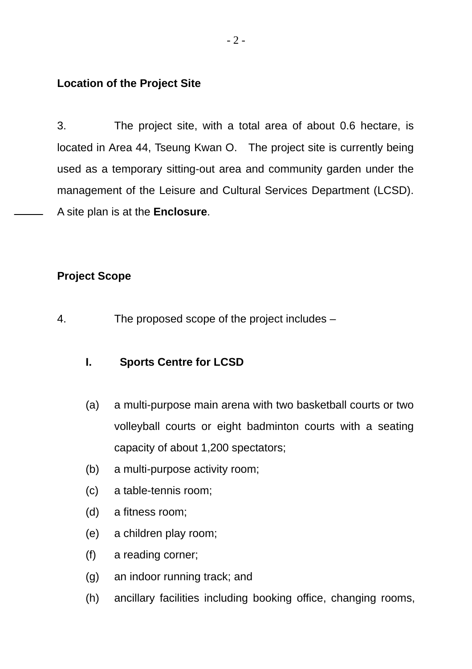## **Location of the Project Site**

3. The project site, with a total area of about 0.6 hectare, is located in Area 44, Tseung Kwan O. The project site is currently being used as a temporary sitting-out area and community garden under the management of the Leisure and Cultural Services Department (LCSD). A site plan is at the **Enclosure**.

## **Project Scope**

4. The proposed scope of the project includes –

## **I. Sports Centre for LCSD**

- (a) a multi-purpose main arena with two basketball courts or two volleyball courts or eight badminton courts with a seating capacity of about 1,200 spectators;
- (b) a multi-purpose activity room;
- (c) a table-tennis room;
- (d) a fitness room;
- (e) a children play room;
- (f) a reading corner;
- (g) an indoor running track; and
- (h) ancillary facilities including booking office, changing rooms,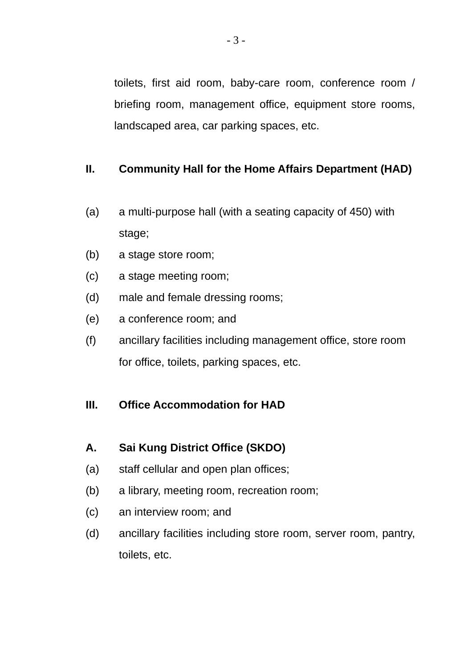toilets, first aid room, baby-care room, conference room / briefing room, management office, equipment store rooms, landscaped area, car parking spaces, etc.

# **II. Community Hall for the Home Affairs Department (HAD)**

- (a) a multi-purpose hall (with a seating capacity of 450) with stage;
- (b) a stage store room;
- (c) a stage meeting room;
- (d) male and female dressing rooms;
- (e) a conference room; and
- (f) ancillary facilities including management office, store room for office, toilets, parking spaces, etc.

### **III. Office Accommodation for HAD**

### **A. Sai Kung District Office (SKDO)**

- (a) staff cellular and open plan offices;
- (b) a library, meeting room, recreation room;
- (c) an interview room; and
- (d) ancillary facilities including store room, server room, pantry, toilets, etc.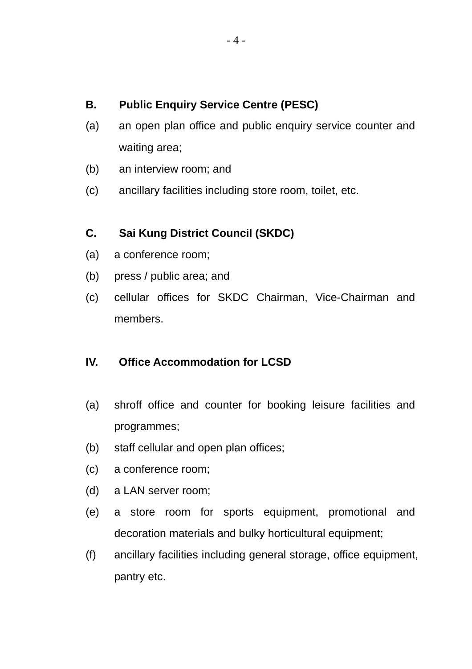# **B. Public Enquiry Service Centre (PESC)**

- (a) an open plan office and public enquiry service counter and waiting area;
- (b) an interview room; and
- (c) ancillary facilities including store room, toilet, etc.

# **C. Sai Kung District Council (SKDC)**

- (a) a conference room;
- (b) press / public area; and
- (c) cellular offices for SKDC Chairman, Vice-Chairman and members.

## **IV. Office Accommodation for LCSD**

- (a) shroff office and counter for booking leisure facilities and programmes;
- (b) staff cellular and open plan offices;
- (c) a conference room;
- (d) a LAN server room;
- (e) a store room for sports equipment, promotional and decoration materials and bulky horticultural equipment;
- (f) ancillary facilities including general storage, office equipment, pantry etc.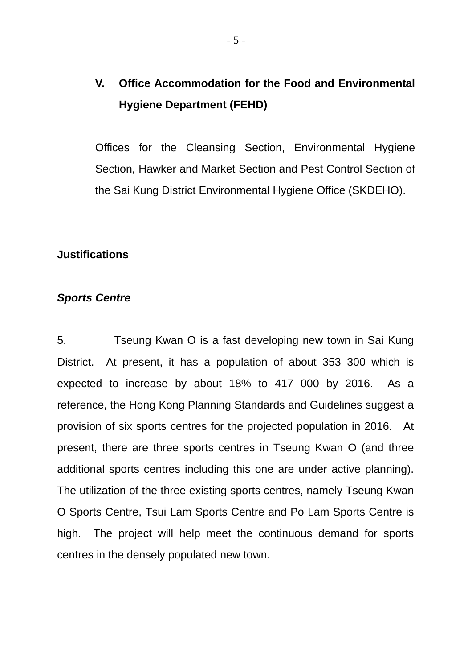# **V. Office Accommodation for the Food and Environmental Hygiene Department (FEHD)**

Offices for the Cleansing Section, Environmental Hygiene Section, Hawker and Market Section and Pest Control Section of the Sai Kung District Environmental Hygiene Office (SKDEHO).

### **Justifications**

### *Sports Centre*

5. Tseung Kwan O is a fast developing new town in Sai Kung District. At present, it has a population of about 353 300 which is expected to increase by about 18% to 417 000 by 2016. As a reference, the Hong Kong Planning Standards and Guidelines suggest a provision of six sports centres for the projected population in 2016. At present, there are three sports centres in Tseung Kwan O (and three additional sports centres including this one are under active planning). The utilization of the three existing sports centres, namely Tseung Kwan O Sports Centre, Tsui Lam Sports Centre and Po Lam Sports Centre is high. The project will help meet the continuous demand for sports centres in the densely populated new town.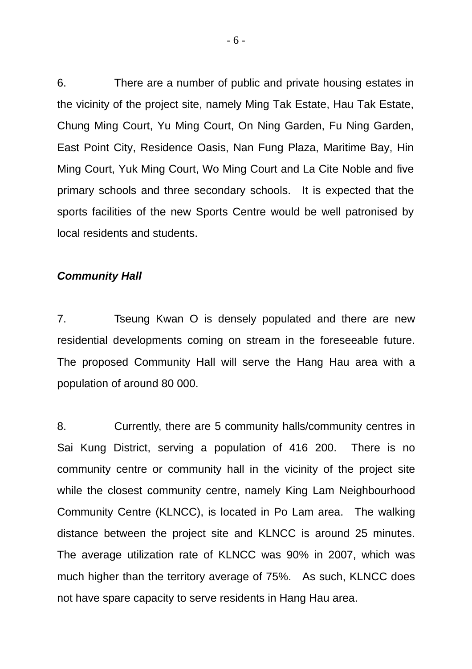6. There are a number of public and private housing estates in the vicinity of the project site, namely Ming Tak Estate, Hau Tak Estate, Chung Ming Court, Yu Ming Court, On Ning Garden, Fu Ning Garden, East Point City, Residence Oasis, Nan Fung Plaza, Maritime Bay, Hin Ming Court, Yuk Ming Court, Wo Ming Court and La Cite Noble and five primary schools and three secondary schools. It is expected that the sports facilities of the new Sports Centre would be well patronised by local residents and students.

### *Community Hall*

7. Tseung Kwan O is densely populated and there are new residential developments coming on stream in the foreseeable future. The proposed Community Hall will serve the Hang Hau area with a population of around 80 000.

8. Currently, there are 5 community halls/community centres in Sai Kung District, serving a population of 416 200. There is no community centre or community hall in the vicinity of the project site while the closest community centre, namely King Lam Neighbourhood Community Centre (KLNCC), is located in Po Lam area. The walking distance between the project site and KLNCC is around 25 minutes. The average utilization rate of KLNCC was 90% in 2007, which was much higher than the territory average of 75%. As such, KLNCC does not have spare capacity to serve residents in Hang Hau area.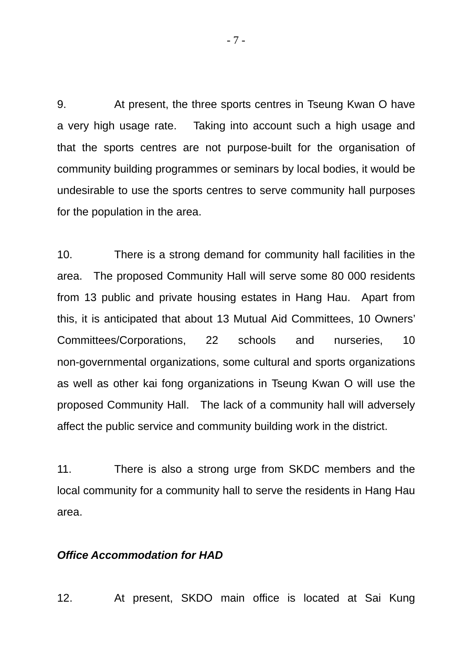9. At present, the three sports centres in Tseung Kwan O have a very high usage rate. Taking into account such a high usage and that the sports centres are not purpose-built for the organisation of community building programmes or seminars by local bodies, it would be undesirable to use the sports centres to serve community hall purposes for the population in the area.

10. There is a strong demand for community hall facilities in the area. The proposed Community Hall will serve some 80 000 residents from 13 public and private housing estates in Hang Hau. Apart from this, it is anticipated that about 13 Mutual Aid Committees, 10 Owners' Committees/Corporations, 22 schools and nurseries, 10 non-governmental organizations, some cultural and sports organizations as well as other kai fong organizations in Tseung Kwan O will use the proposed Community Hall. The lack of a community hall will adversely affect the public service and community building work in the district.

11. There is also a strong urge from SKDC members and the local community for a community hall to serve the residents in Hang Hau area.

### *Office Accommodation for HAD*

12. At present, SKDO main office is located at Sai Kung

- 7 -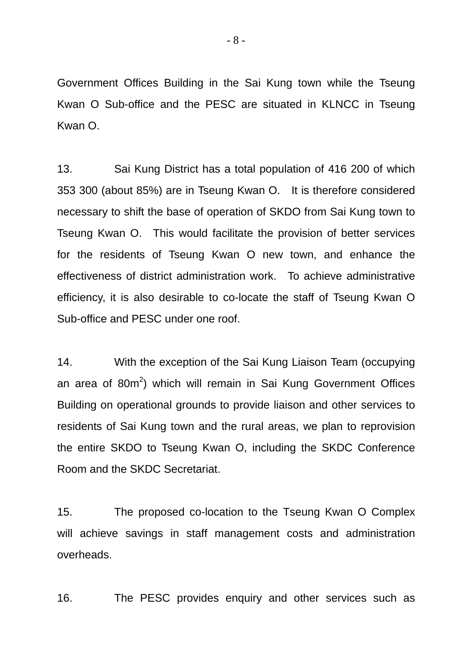Government Offices Building in the Sai Kung town while the Tseung Kwan O Sub-office and the PESC are situated in KLNCC in Tseung Kwan O.

13. Sai Kung District has a total population of 416 200 of which 353 300 (about 85%) are in Tseung Kwan O. It is therefore considered necessary to shift the base of operation of SKDO from Sai Kung town to Tseung Kwan O. This would facilitate the provision of better services for the residents of Tseung Kwan O new town, and enhance the effectiveness of district administration work. To achieve administrative efficiency, it is also desirable to co-locate the staff of Tseung Kwan O Sub-office and PESC under one roof.

14. With the exception of the Sai Kung Liaison Team (occupying an area of 80m<sup>2</sup>) which will remain in Sai Kung Government Offices Building on operational grounds to provide liaison and other services to residents of Sai Kung town and the rural areas, we plan to reprovision the entire SKDO to Tseung Kwan O, including the SKDC Conference Room and the SKDC Secretariat.

15. The proposed co-location to the Tseung Kwan O Complex will achieve savings in staff management costs and administration overheads.

16. The PESC provides enquiry and other services such as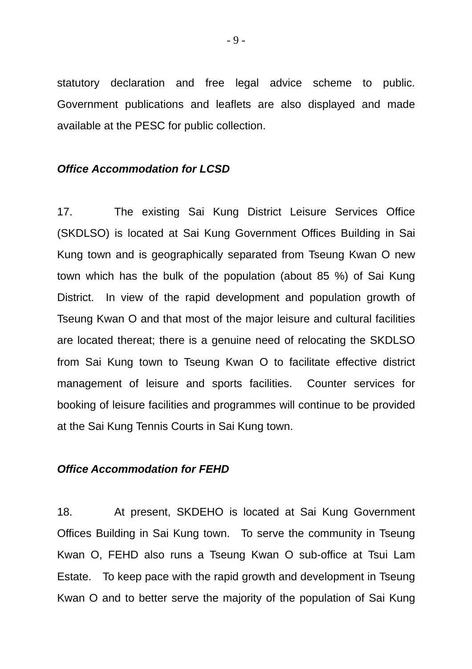statutory declaration and free legal advice scheme to public. Government publications and leaflets are also displayed and made available at the PESC for public collection.

#### *Office Accommodation for LCSD*

17. The existing Sai Kung District Leisure Services Office (SKDLSO) is located at Sai Kung Government Offices Building in Sai Kung town and is geographically separated from Tseung Kwan O new town which has the bulk of the population (about 85 %) of Sai Kung District. In view of the rapid development and population growth of Tseung Kwan O and that most of the major leisure and cultural facilities are located thereat; there is a genuine need of relocating the SKDLSO from Sai Kung town to Tseung Kwan O to facilitate effective district management of leisure and sports facilities. Counter services for booking of leisure facilities and programmes will continue to be provided at the Sai Kung Tennis Courts in Sai Kung town.

#### *Office Accommodation for FEHD*

18. At present, SKDEHO is located at Sai Kung Government Offices Building in Sai Kung town. To serve the community in Tseung Kwan O, FEHD also runs a Tseung Kwan O sub-office at Tsui Lam Estate. To keep pace with the rapid growth and development in Tseung Kwan O and to better serve the majority of the population of Sai Kung

- 9 -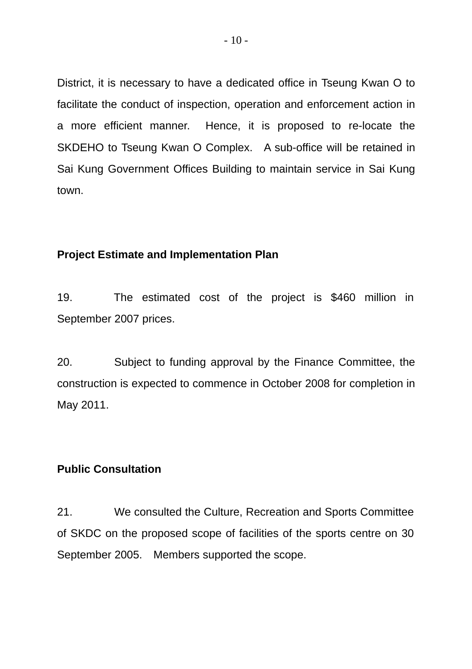District, it is necessary to have a dedicated office in Tseung Kwan O to facilitate the conduct of inspection, operation and enforcement action in a more efficient manner. Hence, it is proposed to re-locate the SKDEHO to Tseung Kwan O Complex. A sub-office will be retained in Sai Kung Government Offices Building to maintain service in Sai Kung town.

### **Project Estimate and Implementation Plan**

19. The estimated cost of the project is \$460 million in September 2007 prices.

20. Subject to funding approval by the Finance Committee, the construction is expected to commence in October 2008 for completion in May 2011.

### **Public Consultation**

21. We consulted the Culture, Recreation and Sports Committee of SKDC on the proposed scope of facilities of the sports centre on 30 September 2005. Members supported the scope.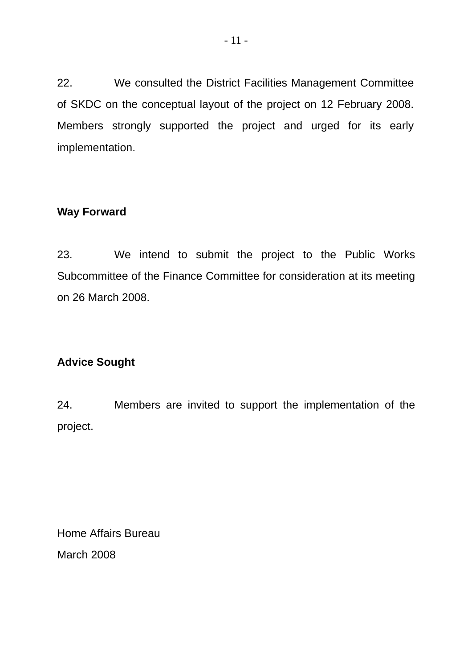22. We consulted the District Facilities Management Committee of SKDC on the conceptual layout of the project on 12 February 2008. Members strongly supported the project and urged for its early implementation.

## **Way Forward**

23. We intend to submit the project to the Public Works Subcommittee of the Finance Committee for consideration at its meeting on 26 March 2008.

# **Advice Sought**

24. Members are invited to support the implementation of the project.

Home Affairs Bureau March 2008